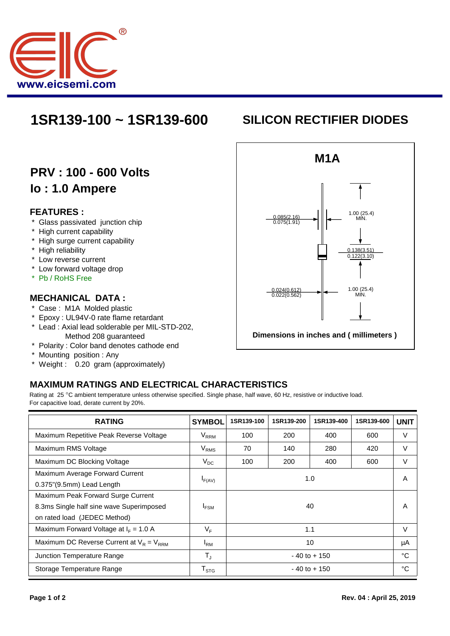

## **1SR139-100 ~ 1SR139-600 SILICON RECTIFIER DIODES**

## **PRV : 100 - 600 Volts Io : 1.0 Ampere**

#### **FEATURES :**

- \* Glass passivated junction chip
- \* High current capability
- \* High surge current capability
- \* High reliability
- \* Low reverse current
- \* Low forward voltage drop
- \* Pb / RoHS Free

#### **MECHANICAL DATA :**

- \* Case : M1A Molded plastic
- \* Epoxy : UL94V-0 rate flame retardant
- \* Lead : Axial lead solderable per MIL-STD-202, Method 208 guaranteed
- \* Polarity : Color band denotes cathode end
- \* Mounting position : Any
- \* Weight : 0.20 gram (approximately)

# **M1A Dimensions in inches and ( millimeters )** 1.00 (25.4)  $\begin{array}{ccc} 0.085(2.16) & & \\ 0.075(1.91) & & \end{array}$   $\begin{array}{ccc} \end{array}$   $\begin{array}{ccc} \end{array}$  MIN. 0.138(3.51) 0.122(3.10) 1.00 (25.4) MIN. 0.024(0.612) 0.022(0.562)

### **MAXIMUM RATINGS AND ELECTRICAL CHARACTERISTICS**

Rating at 25 °C ambient temperature unless otherwise specified. Single phase, half wave, 60 Hz, resistive or inductive load. For capacitive load, derate current by 20%.

| <b>RATING</b>                                 | <b>SYMBOL</b>      | 1SR139-100      | 1SR139-200 | 1SR139-400 | 1SR139-600 | <b>UNIT</b> |
|-----------------------------------------------|--------------------|-----------------|------------|------------|------------|-------------|
| Maximum Repetitive Peak Reverse Voltage       | $V_{RRM}$          | 100             | 200        | 400        | 600        | $\vee$      |
| Maximum RMS Voltage                           | $V_{RMS}$          | 70              | 140        | 280        | 420        | V           |
| Maximum DC Blocking Voltage                   | $V_{DC}$           | 100             | 200        | 400        | 600        | V           |
| Maximum Average Forward Current               | 1.0<br>$I_{F(AV)}$ |                 |            |            | A          |             |
| 0.375"(9.5mm) Lead Length                     |                    |                 |            |            |            |             |
| Maximum Peak Forward Surge Current            |                    |                 |            |            |            |             |
| 8.3ms Single half sine wave Superimposed      | <b>IFSM</b>        | 40              |            |            |            | A           |
| on rated load (JEDEC Method)                  |                    |                 |            |            |            |             |
| Maximum Forward Voltage at $I_F = 1.0 A$      | $V_F$              | 1.1             |            |            |            | V           |
| Maximum DC Reverse Current at $V_R = V_{RRM}$ | $I_{\rm RM}$       | 10              |            |            |            | μA          |
| Junction Temperature Range                    | $T_{\rm J}$        | $-40$ to $+150$ |            |            |            | °C          |
| Storage Temperature Range                     | $T_{\text{STG}}$   | $-40$ to $+150$ |            |            |            | °C          |